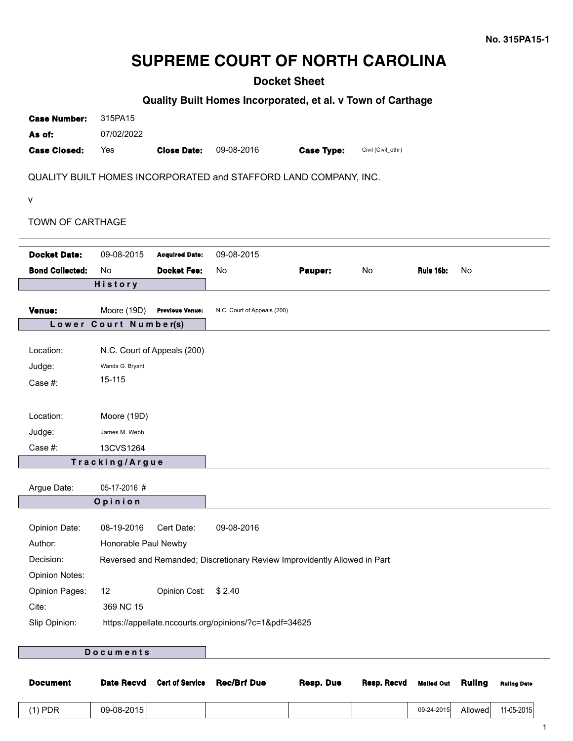## **SUPREME COURT OF NORTH CAROLINA**

## **Docket Sheet**

## **Quality Built Homes Incorporated, et al. v Town of Carthage**

| <b>Case Number:</b>     | 315PA15               |                             |                                                                           |                   |                    |           |    |
|-------------------------|-----------------------|-----------------------------|---------------------------------------------------------------------------|-------------------|--------------------|-----------|----|
| As of:                  | 07/02/2022            |                             |                                                                           |                   |                    |           |    |
| <b>Case Closed:</b>     | Yes                   | <b>Close Date:</b>          | 09-08-2016                                                                | <b>Case Type:</b> | Civil (Civil_othr) |           |    |
|                         |                       |                             | QUALITY BUILT HOMES INCORPORATED and STAFFORD LAND COMPANY, INC.          |                   |                    |           |    |
| $\mathsf{V}$            |                       |                             |                                                                           |                   |                    |           |    |
| <b>TOWN OF CARTHAGE</b> |                       |                             |                                                                           |                   |                    |           |    |
| <b>Docket Date:</b>     | 09-08-2015            | <b>Acquired Date:</b>       | 09-08-2015                                                                |                   |                    |           |    |
| <b>Bond Collected:</b>  | <b>No</b>             | <b>Docket Fee:</b>          | No                                                                        | Pauper:           | No                 | Rule 16b: | No |
|                         | History               |                             |                                                                           |                   |                    |           |    |
| <b>Venue:</b>           | Moore (19D)           | <b>Previous Venue:</b>      | N.C. Court of Appeals (200)                                               |                   |                    |           |    |
|                         | Lower Court Number(s) |                             |                                                                           |                   |                    |           |    |
| Location:               |                       | N.C. Court of Appeals (200) |                                                                           |                   |                    |           |    |
| Judge:                  | Wanda G. Bryant       |                             |                                                                           |                   |                    |           |    |
| Case #:                 | 15-115                |                             |                                                                           |                   |                    |           |    |
|                         |                       |                             |                                                                           |                   |                    |           |    |
| Location:               | Moore (19D)           |                             |                                                                           |                   |                    |           |    |
| Judge:                  | James M. Webb         |                             |                                                                           |                   |                    |           |    |
| Case #:                 | 13CVS1264             |                             |                                                                           |                   |                    |           |    |
|                         | Tracking/Argue        |                             |                                                                           |                   |                    |           |    |
| Argue Date:             | 05-17-2016 #          |                             |                                                                           |                   |                    |           |    |
|                         | Opinion               |                             |                                                                           |                   |                    |           |    |
|                         |                       |                             |                                                                           |                   |                    |           |    |
| Opinion Date:           | 08-19-2016 Cert Date: |                             | 09-08-2016                                                                |                   |                    |           |    |
| Author:                 | Honorable Paul Newby  |                             |                                                                           |                   |                    |           |    |
| Decision:               |                       |                             | Reversed and Remanded; Discretionary Review Improvidently Allowed in Part |                   |                    |           |    |
| <b>Opinion Notes:</b>   |                       |                             |                                                                           |                   |                    |           |    |
| <b>Opinion Pages:</b>   | 12                    | Opinion Cost:               | \$2.40                                                                    |                   |                    |           |    |
| Cite:                   | 369 NC 15             |                             |                                                                           |                   |                    |           |    |
| Slip Opinion:           |                       |                             | https://appellate.nccourts.org/opinions/?c=1&pdf=34625                    |                   |                    |           |    |
|                         |                       |                             |                                                                           |                   |                    |           |    |
|                         | Documents             |                             |                                                                           |                   |                    |           |    |

# **Document Date Recvd Cert of Service Rec/Brf Due Resp. Due Resp. Recvd Mailed Out Ruling Ruling Date** (1) PDR 09-08-2015 09-24-2015 Allowed 11-05-2015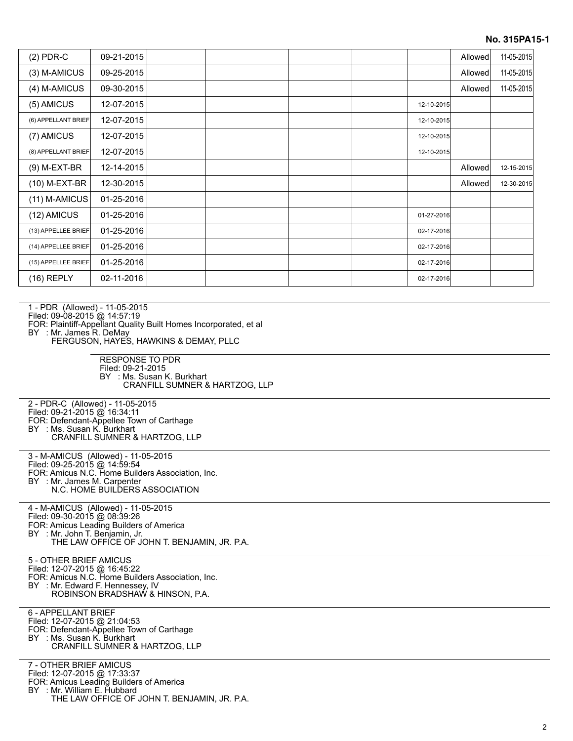#### **No. 315PA15-1**

| $(2)$ PDR-C         | 09-21-2015 |  |  |            | Allowed | 11-05-2015 |
|---------------------|------------|--|--|------------|---------|------------|
| (3) M-AMICUS        | 09-25-2015 |  |  |            | Allowed | 11-05-2015 |
| (4) M-AMICUS        | 09-30-2015 |  |  |            | Allowed | 11-05-2015 |
| (5) AMICUS          | 12-07-2015 |  |  | 12-10-2015 |         |            |
| (6) APPELLANT BRIEF | 12-07-2015 |  |  | 12-10-2015 |         |            |
| (7) AMICUS          | 12-07-2015 |  |  | 12-10-2015 |         |            |
| (8) APPELLANT BRIEF | 12-07-2015 |  |  | 12-10-2015 |         |            |
| (9) M-EXT-BR        | 12-14-2015 |  |  |            | Allowed | 12-15-2015 |
| (10) M-EXT-BR       | 12-30-2015 |  |  |            | Allowed | 12-30-2015 |
| (11) M-AMICUS       | 01-25-2016 |  |  |            |         |            |
| (12) AMICUS         | 01-25-2016 |  |  | 01-27-2016 |         |            |
| (13) APPELLEE BRIEF | 01-25-2016 |  |  | 02-17-2016 |         |            |
| (14) APPELLEE BRIEF | 01-25-2016 |  |  | 02-17-2016 |         |            |
| (15) APPELLEE BRIEF | 01-25-2016 |  |  | 02-17-2016 |         |            |
| (16) REPLY          | 02-11-2016 |  |  | 02-17-2016 |         |            |

1 - PDR (Allowed) - 11-05-2015

Filed: 09-08-2015 @ 14:57:19

FOR: Plaintiff-Appellant Quality Built Homes Incorporated, et al

BY : Mr. James R. DeMay

FERGUSON, HAYES, HAWKINS & DEMAY, PLLC

RESPONSE TO PDR Filed: 09-21-2015 BY : Ms. Susan K. Burkhart CRANFILL SUMNER & HARTZOG, LLP

2 - PDR-C (Allowed) - 11-05-2015 Filed: 09-21-2015 @ 16:34:11 FOR: Defendant-Appellee Town of Carthage BY : Ms. Susan K. Burkhart CRANFILL SUMNER & HARTZOG, LLP

3 - M-AMICUS (Allowed) - 11-05-2015

Filed: 09-25-2015 @ 14:59:54

FOR: Amicus N.C. Home Builders Association, Inc. BY : Mr. James M. Carpenter

N.C. HOME BUILDERS ASSOCIATION

4 - M-AMICUS (Allowed) - 11-05-2015 Filed: 09-30-2015 @ 08:39:26 FOR: Amicus Leading Builders of America BY : Mr. John T. Benjamin, Jr. THE LAW OFFICE OF JOHN T. BENJAMIN, JR. P.A.

5 - OTHER BRIEF AMICUS Filed: 12-07-2015 @ 16:45:22 FOR: Amicus N.C. Home Builders Association, Inc. BY : Mr. Edward F. Hennessey, IV ROBINSON BRADSHAW & HINSON, P.A.

6 - APPELLANT BRIEF

- Filed: 12-07-2015 @ 21:04:53
- FOR: Defendant-Appellee Town of Carthage BY : Ms. Susan K. Burkhart
- CRANFILL SUMNER & HARTZOG, LLP

7 - OTHER BRIEF AMICUS

Filed: 12-07-2015 @ 17:33:37

FOR: Amicus Leading Builders of America

BY : Mr. William E. Hubbard

THE LAW OFFICE OF JOHN T. BENJAMIN, JR. P.A.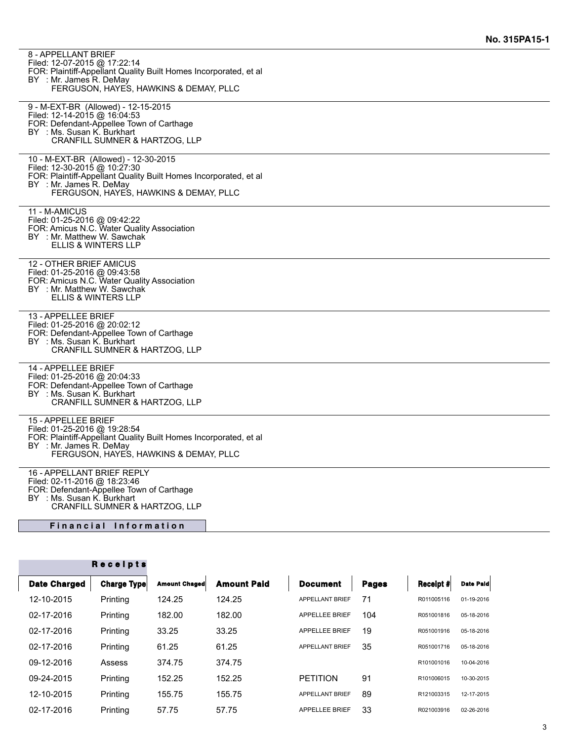| 8 - APPELLANT BRIEF<br>Filed: 12-07-2015 @ 17:22:14<br>FOR: Plaintiff-Appellant Quality Built Homes Incorporated, et al<br>BY : Mr. James R. DeMay<br>FERGUSON, HAYES, HAWKINS & DEMAY, PLLC                  |
|---------------------------------------------------------------------------------------------------------------------------------------------------------------------------------------------------------------|
| 9 - M-EXT-BR (Allowed) - 12-15-2015<br>Filed: 12-14-2015 @ 16:04:53<br>FOR: Defendant-Appellee Town of Carthage<br>BY : Ms. Susan K. Burkhart<br>CRANFILL SUMNER & HARTZOG, LLP                               |
| 10 - M-EXT-BR (Allowed) - 12-30-2015<br>Filed: 12-30-2015 @ 10:27:30<br>FOR: Plaintiff-Appellant Quality Built Homes Incorporated, et al<br>BY : Mr. James R. DeMay<br>FERGUSON, HAYES, HAWKINS & DEMAY, PLLC |
| 11 - M-AMICUS<br>Filed: 01-25-2016 @ 09:42:22<br>FOR: Amicus N.C. Water Quality Association<br>BY : Mr. Matthew W. Sawchak<br>ELLIS & WINTERS LLP                                                             |
| 12 - OTHER BRIEF AMICUS<br>Filed: 01-25-2016 @ 09:43:58<br>FOR: Amicus N.C. Water Quality Association<br>BY : Mr. Matthew W. Sawchak<br><b>ELLIS &amp; WINTERS LLP</b>                                        |
| 13 - APPELLEE BRIEF<br>Filed: 01-25-2016 @ 20:02:12<br>FOR: Defendant-Appellee Town of Carthage<br>BY : Ms. Susan K. Burkhart<br>CRANFILL SUMNER & HARTZOG, LLP                                               |
| 14 - APPELLEE BRIEF<br>Filed: 01-25-2016 @ 20:04:33<br>FOR: Defendant-Appellee Town of Carthage<br>BY : Ms. Susan K. Burkhart<br><b>CRANFILL SUMNER &amp; HARTZOG, LLP</b>                                    |
| 15 - APPELLEE BRIEF<br>Filed: 01-25-2016 @ 19:28:54<br>FOR: Plaintiff-Appellant Quality Built Homes Incorporated, et al<br>BY : Mr. James R. DeMay<br>FERGUSON, HAYES, HAWKINS & DEMAY, PLLC                  |
| 16 - APPELLANT BRIEF REPLY<br>Filed: 02-11-2016 @ 18:23:46<br>FOR: Defendant-Appellee Town of Carthage<br>BY : Ms. Susan K. Burkhart<br>$-7722115$                                                            |

CRANFILL SUMNER & HARTZOG, LLP

**Financial Information** 

|                     | Receipts    |                      |                    |                        |              |            |                  |
|---------------------|-------------|----------------------|--------------------|------------------------|--------------|------------|------------------|
| <b>Date Charged</b> | Charge Type | <b>Amount Chaged</b> | <b>Amount Paid</b> | <b>Document</b>        | <b>Pages</b> | Receipt #  | <b>Date Pald</b> |
| 12-10-2015          | Printing    | 124.25               | 124.25             | <b>APPELLANT BRIEF</b> | 71           | R011005116 | 01-19-2016       |
| 02-17-2016          | Printing    | 182.00               | 182.00             | <b>APPELLEE BRIEF</b>  | 104          | R051001816 | 05-18-2016       |
| 02-17-2016          | Printing    | 33.25                | 33.25              | <b>APPELLEE BRIEF</b>  | 19           | R051001916 | 05-18-2016       |
| 02-17-2016          | Printing    | 61.25                | 61.25              | <b>APPELLANT BRIEF</b> | 35           | R051001716 | 05-18-2016       |
| 09-12-2016          | Assess      | 374.75               | 374.75             |                        |              | R101001016 | 10-04-2016       |
| 09-24-2015          | Printing    | 152.25               | 152.25             | <b>PETITION</b>        | 91           | R101006015 | 10-30-2015       |
| 12-10-2015          | Printing    | 155.75               | 155.75             | <b>APPELLANT BRIEF</b> | 89           | R121003315 | 12-17-2015       |
| 02-17-2016          | Printing    | 57.75                | 57.75              | <b>APPELLEE BRIEF</b>  | 33           | R021003916 | 02-26-2016       |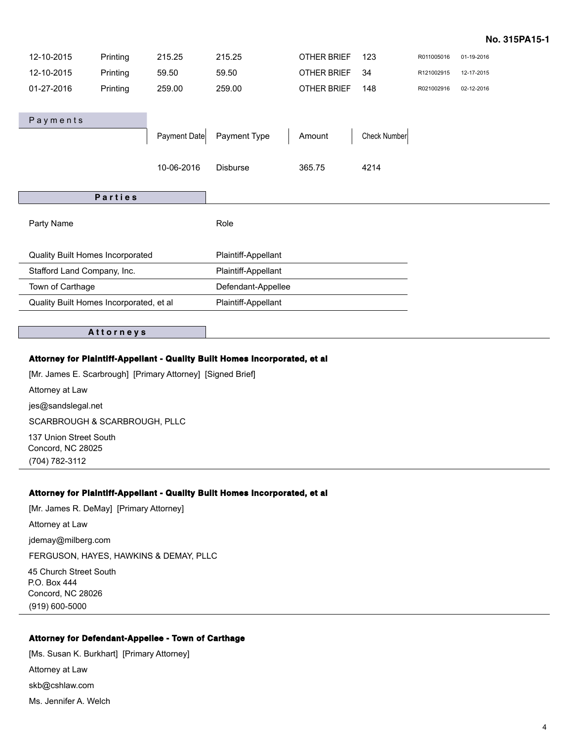#### **No. 315PA15-1**

| 12-10-2015                              | Printing | 215.25       | 215.25              | OTHER BRIEF | 123          | R011005016 | 01-19-2016 |
|-----------------------------------------|----------|--------------|---------------------|-------------|--------------|------------|------------|
| 12-10-2015                              | Printing | 59.50        | 59.50               | OTHER BRIEF | 34           | R121002915 | 12-17-2015 |
| 01-27-2016                              | Printing | 259.00       | 259.00              | OTHER BRIEF | 148          | R021002916 | 02-12-2016 |
|                                         |          |              |                     |             |              |            |            |
| Payments                                |          |              |                     |             |              |            |            |
|                                         |          | Payment Date | Payment Type        | Amount      | Check Number |            |            |
|                                         |          |              |                     |             |              |            |            |
|                                         |          | 10-06-2016   | <b>Disburse</b>     | 365.75      | 4214         |            |            |
|                                         |          |              |                     |             |              |            |            |
|                                         |          |              |                     |             |              |            |            |
|                                         | Parties  |              |                     |             |              |            |            |
|                                         |          |              |                     |             |              |            |            |
| Party Name                              |          |              | Role                |             |              |            |            |
|                                         |          |              |                     |             |              |            |            |
| Quality Built Homes Incorporated        |          |              | Plaintiff-Appellant |             |              |            |            |
| Stafford Land Company, Inc.             |          |              | Plaintiff-Appellant |             |              |            |            |
| Town of Carthage                        |          |              | Defendant-Appellee  |             |              |            |            |
| Quality Built Homes Incorporated, et al |          |              | Plaintiff-Appellant |             |              |            |            |

#### **A t t o r n e y s**

#### **Attorney for Plaintiff-Appellant - Quality Built Homes Incorporated, et al**

[Mr. James E. Scarbrough] [Primary Attorney] [Signed Brief] Attorney at Law jes@sandslegal.net SCARBROUGH & SCARBROUGH, PLLC 137 Union Street South Concord, NC 28025

(704) 782-3112

#### **Attorney for Plaintiff-Appellant - Quality Built Homes Incorporated, et al**

[Mr. James R. DeMay] [Primary Attorney] Attorney at Law jdemay@milberg.com FERGUSON, HAYES, HAWKINS & DEMAY, PLLC 45 Church Street South P.O. Box 444 Concord, NC 28026 (919) 600-5000

### **Attorney for Defendant-Appellee - Town of Carthage**

[Ms. Susan K. Burkhart] [Primary Attorney] Attorney at Law skb@cshlaw.com Ms. Jennifer A. Welch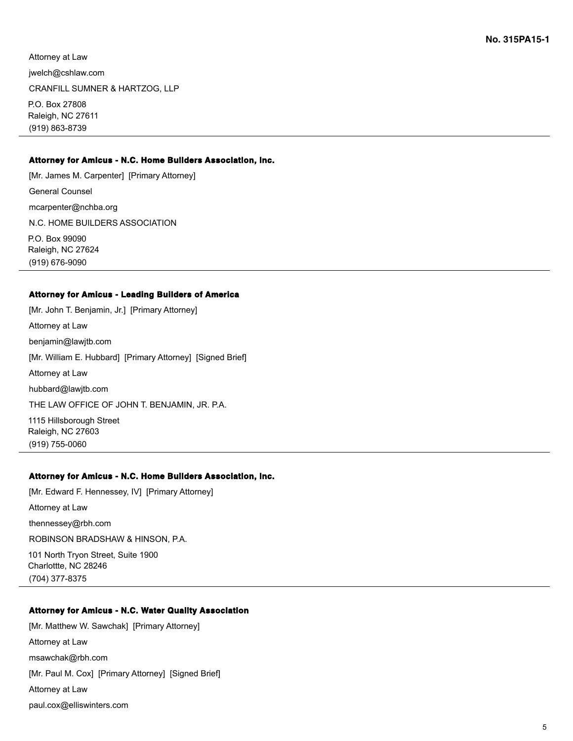Attorney at Law

jwelch@cshlaw.com

CRANFILL SUMNER & HARTZOG, LLP

P.O. Box 27808 Raleigh, NC 27611 (919) 863-8739

#### **Attorney for Amicus - N.C. Home Builders Association, Inc.**

[Mr. James M. Carpenter] [Primary Attorney] General Counsel mcarpenter@nchba.org N.C. HOME BUILDERS ASSOCIATION P.O. Box 99090 Raleigh, NC 27624 (919) 676-9090

#### **Attorney for Amicus - Leading Builders of America**

[Mr. John T. Benjamin, Jr.] [Primary Attorney] Attorney at Law benjamin@lawjtb.com [Mr. William E. Hubbard] [Primary Attorney] [Signed Brief] Attorney at Law hubbard@lawjtb.com THE LAW OFFICE OF JOHN T. BENJAMIN, JR. P.A. 1115 Hillsborough Street Raleigh, NC 27603 (919) 755-0060

#### **Attorney for Amicus - N.C. Home Builders Association, Inc.**

[Mr. Edward F. Hennessey, IV] [Primary Attorney]

Attorney at Law

thennessey@rbh.com

ROBINSON BRADSHAW & HINSON, P.A.

101 North Tryon Street, Suite 1900 Charlottte, NC 28246 (704) 377-8375

#### **Attorney for Amicus - N.C. Water Quality Association**

[Mr. Matthew W. Sawchak] [Primary Attorney] Attorney at Law msawchak@rbh.com [Mr. Paul M. Cox] [Primary Attorney] [Signed Brief] Attorney at Law paul.cox@elliswinters.com